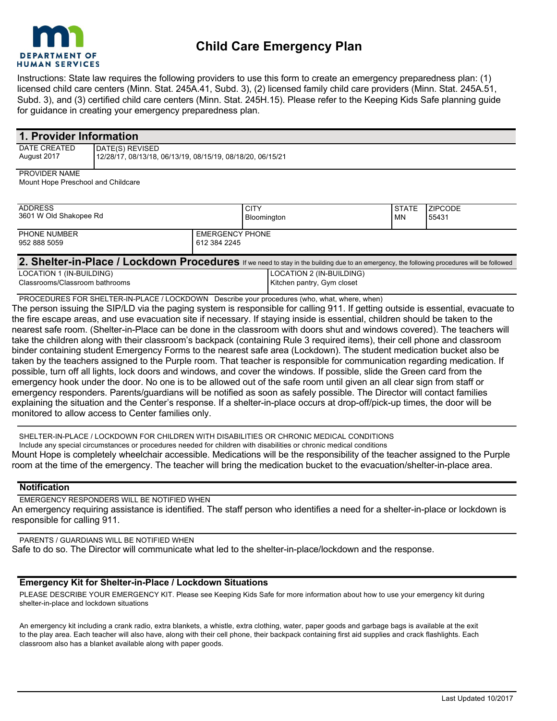

Instructions: State law requires the following providers to use this form to create an emergency preparedness plan: (1) licensed child care centers (Minn. Stat. 245A.41, Subd. 3), (2) licensed family child care providers (Minn. Stat. 245A.51, Subd. 3), and (3) certified child care centers (Minn. Stat. 245H.15). Please refer to the Keeping Kids Safe planning guide for guidance in creating your emergency preparedness plan.

| 1. Provider Information            |                                                            |  |  |  |  |
|------------------------------------|------------------------------------------------------------|--|--|--|--|
| DATE CREATED                       | DATE(S) REVISED                                            |  |  |  |  |
| August 2017                        | 12/28/17, 08/13/18, 06/13/19, 08/15/19, 08/18/20, 06/15/21 |  |  |  |  |
| PROVIDER NAME                      |                                                            |  |  |  |  |
| Mount Hope Preschool and Childcare |                                                            |  |  |  |  |
|                                    |                                                            |  |  |  |  |
|                                    |                                                            |  |  |  |  |

| <b>ADDRESS</b><br>3601 W Old Shakopee Rd                                     |                                        | <b>CITY</b><br>Bloomington | <b>STATE</b><br><b>MN</b> | <b>ZIPCODE</b><br>55431 |  |
|------------------------------------------------------------------------------|----------------------------------------|----------------------------|---------------------------|-------------------------|--|
| PHONE NUMBER<br>952 888 5059                                                 | <b>EMERGENCY PHONE</b><br>612 384 2245 |                            |                           |                         |  |
| 0 Chalter in Dlage (Laskelaum Dreagedurge<br>.<br>$\cdots$ $\cdots$ $\cdots$ |                                        |                            |                           |                         |  |

| 2. Shelter-in-Place / Lockdown Procedures If we need to stay in the building due to an emergency, the following procedures will be followed |                            |  |  |
|---------------------------------------------------------------------------------------------------------------------------------------------|----------------------------|--|--|
| LOCATION 1 (IN-BUILDING)                                                                                                                    | LOCATION 2 (IN-BUILDING)   |  |  |
| Classrooms/Classroom bathrooms                                                                                                              | Kitchen pantry, Gym closet |  |  |
|                                                                                                                                             |                            |  |  |

PROCEDURES FOR SHELTER-IN-PLACE / LOCKDOWN Describe your procedures (who, what, where, when) The person issuing the SIP/LD via the paging system is responsible for calling 911. If getting outside is essential, evacuate to the fire escape areas, and use evacuation site if necessary. If staying inside is essential, children should be taken to the nearest safe room. (Shelter-in-Place can be done in the classroom with doors shut and windows covered). The teachers will take the children along with their classroom's backpack (containing Rule 3 required items), their cell phone and classroom binder containing student Emergency Forms to the nearest safe area (Lockdown). The student medication bucket also be taken by the teachers assigned to the Purple room. That teacher is responsible for communication regarding medication. If possible, turn off all lights, lock doors and windows, and cover the windows. If possible, slide the Green card from the emergency hook under the door. No one is to be allowed out of the safe room until given an all clear sign from staff or emergency responders. Parents/guardians will be notified as soon as safely possible. The Director will contact families explaining the situation and the Center's response. If a shelter-in-place occurs at drop-off/pick-up times, the door will be monitored to allow access to Center families only.

SHELTER-IN-PLACE / LOCKDOWN FOR CHILDREN WITH DISABILITIES OR CHRONIC MEDICAL CONDITIONS Include any special circumstances or procedures needed for children with disabilities or chronic medical conditions Mount Hope is completely wheelchair accessible. Medications will be the responsibility of the teacher assigned to the Purple room at the time of the emergency. The teacher will bring the medication bucket to the evacuation/shelter-in-place area.

## **Notification**

EMERGENCY RESPONDERS WILL BE NOTIFIED WHEN An emergency requiring assistance is identified. The staff person who identifies a need for a shelter-in-place or lockdown is responsible for calling 911.

PARENTS / GUARDIANS WILL BE NOTIFIED WHEN Safe to do so. The Director will communicate what led to the shelter-in-place/lockdown and the response.

## **Emergency Kit for Shelter-in-Place / Lockdown Situations**

PLEASE DESCRIBE YOUR EMERGENCY KIT. Please see Keeping Kids Safe for more information about how to use your emergency kit during shelter-in-place and lockdown situations

An emergency kit including a crank radio, extra blankets, a whistle, extra clothing, water, paper goods and garbage bags is available at the exit to the play area. Each teacher will also have, along with their cell phone, their backpack containing first aid supplies and crack flashlights. Each classroom also has a blanket available along with paper goods.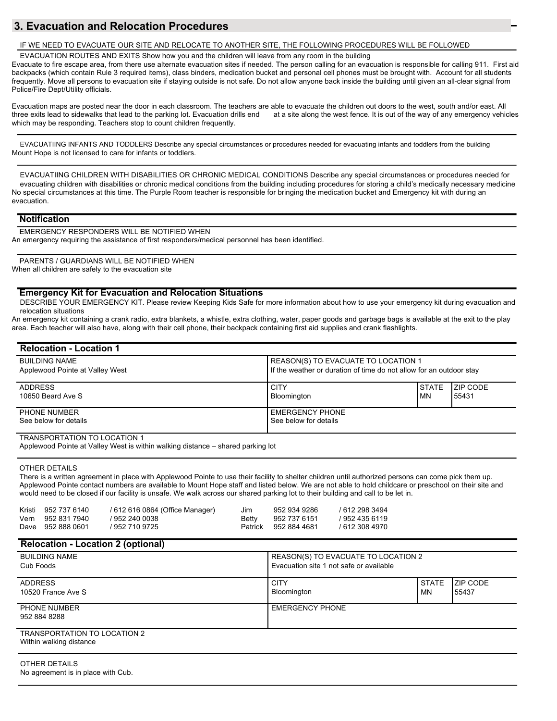# **3. Evacuation and Relocation Procedures**

#### IF WE NEED TO EVACUATE OUR SITE AND RELOCATE TO ANOTHER SITE, THE FOLLOWING PROCEDURES WILL BE FOLLOWED

EVACUATION ROUTES AND EXITS Show how you and the children will leave from any room in the building

Evacuate to fire escape area, from there use alternate evacuation sites if needed. The person calling for an evacuation is responsible for calling 911. First aid backpacks (which contain Rule 3 required items), class binders, medication bucket and personal cell phones must be brought with. Account for all students frequently. Move all persons to evacuation site if staying outside is not safe. Do not allow anyone back inside the building until given an all-clear signal from Police/Fire Dept/Utility officials.

Evacuation maps are posted near the door in each classroom. The teachers are able to evacuate the children out doors to the west, south and/or east. All three exits lead to sidewalks that lead to the parking lot. Evacuation drills end at a site along the west fence. It is out of the way of any emergency vehicles which may be responding. Teachers stop to count children frequently.

EVACUATIING INFANTS AND TODDLERS Describe any special circumstances or procedures needed for evacuating infants and toddlers from the building Mount Hope is not licensed to care for infants or toddlers.

EVACUATIING CHILDREN WITH DISABILITIES OR CHRONIC MEDICAL CONDITIONS Describe any special circumstances or procedures needed for evacuating children with disabilities or chronic medical conditions from the building including procedures for storing a child's medically necessary medicine No special circumstances at this time. The Purple Room teacher is responsible for bringing the medication bucket and Emergency kit with during an evacuation.

#### **Notification**

EMERGENCY RESPONDERS WILL BE NOTIFIED WHEN An emergency requiring the assistance of first responders/medical personnel has been identified.

PARENTS / GUARDIANS WILL BE NOTIFIED WHEN When all children are safely to the evacuation site

### **Emergency Kit for Evacuation and Relocation Situations**

DESCRIBE YOUR EMERGENCY KIT. Please review Keeping Kids Safe for more information about how to use your emergency kit during evacuation and relocation situations

An emergency kit containing a crank radio, extra blankets, a whistle, extra clothing, water, paper goods and garbage bags is available at the exit to the play area. Each teacher will also have, along with their cell phone, their backpack containing first aid supplies and crank flashlights.

| <b>Relocation - Location 1</b>               |                                                                     |              |                  |
|----------------------------------------------|---------------------------------------------------------------------|--------------|------------------|
| <b>BUILDING NAME</b>                         | REASON(S) TO EVACUATE TO LOCATION 1                                 |              |                  |
| Applewood Pointe at Valley West              | If the weather or duration of time do not allow for an outdoor stay |              |                  |
| <b>ADDRESS</b>                               | <b>CITY</b>                                                         | <b>STATE</b> | <b>IZIP CODE</b> |
| 10650 Beard Ave S                            | Bloomington                                                         | MN           | 55431            |
| <b>PHONE NUMBER</b><br>See below for details | <b>EMERGENCY PHONE</b><br>See below for details                     |              |                  |

### TRANSPORTATION TO LOCATION 1

Applewood Pointe at Valley West is within walking distance – shared parking lot

#### OTHER DETAILS

There is a written agreement in place with Applewood Pointe to use their facility to shelter children until authorized persons can come pick them up. Applewood Pointe contact numbers are available to Mount Hope staff and listed below. We are not able to hold childcare or preschool on their site and would need to be closed if our facility is unsafe. We walk across our shared parking lot to their building and call to be let in.

| Kristi 952 737 6140 | / 612 616 0864 (Office Manager) | Jim   | 952 934 9286         | / 612 298 3494 |
|---------------------|---------------------------------|-------|----------------------|----------------|
| Vern 952 831 7940   | / 952 240 0038                  | Betty | 952 737 6151         | / 952 435 6119 |
| Dave 952 888 0601   | / 952 710 9725                  |       | Patrick 952 884 4681 | / 612 308 4970 |

#### **Relocation - Location 2 (optional)**

| <b>BUILDING NAME</b>                                    | REASON(S) TO EVACUATE TO LOCATION 2     |              |                 |
|---------------------------------------------------------|-----------------------------------------|--------------|-----------------|
| Cub Foods                                               | Evacuation site 1 not safe or available |              |                 |
| <b>ADDRESS</b>                                          | <b>CITY</b>                             | <b>STATE</b> | <b>ZIP CODE</b> |
| 10520 France Ave S                                      | Bloomington                             | ΜN           | 55437           |
| PHONE NUMBER<br>952 884 8288                            | <b>EMERGENCY PHONE</b>                  |              |                 |
| TRANSPORTATION TO LOCATION 2<br>Within walking distance |                                         |              |                 |

#### OTHER DETAILS

No agreement is in place with Cub.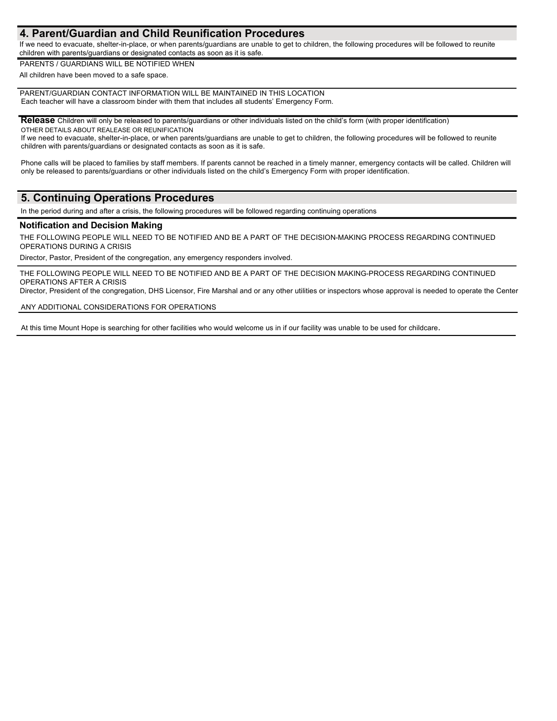## **4. Parent/Guardian and Child Reunification Procedures**

If we need to evacuate, shelter-in-place, or when parents/guardians are unable to get to children, the following procedures will be followed to reunite children with parents/guardians or designated contacts as soon as it is safe.

PARENTS / GUARDIANS WILL BE NOTIFIED WHEN

All children have been moved to a safe space.

PARENT/GUARDIAN CONTACT INFORMATION WILL BE MAINTAINED IN THIS LOCATION Each teacher will have a classroom binder with them that includes all students' Emergency Form.

**Release** Children will only be released to parents/guardians or other individuals listed on the child's form (with proper identification) OTHER DETAILS ABOUT REALEASE OR REUNIFICATION

If we need to evacuate, shelter-in-place, or when parents/guardians are unable to get to children, the following procedures will be followed to reunite children with parents/guardians or designated contacts as soon as it is safe.

Phone calls will be placed to families by staff members. If parents cannot be reached in a timely manner, emergency contacts will be called. Children will only be released to parents/guardians or other individuals listed on the child's Emergency Form with proper identification.

## **5. Continuing Operations Procedures**

In the period during and after a crisis, the following procedures will be followed regarding continuing operations

## **Notification and Decision Making**

THE FOLLOWING PEOPLE WILL NEED TO BE NOTIFIED AND BE A PART OF THE DECISION-MAKING PROCESS REGARDING CONTINUED OPERATIONS DURING A CRISIS

Director, Pastor, President of the congregation, any emergency responders involved.

THE FOLLOWING PEOPLE WILL NEED TO BE NOTIFIED AND BE A PART OF THE DECISION MAKING-PROCESS REGARDING CONTINUED OPERATIONS AFTER A CRISIS

Director, President of the congregation, DHS Licensor, Fire Marshal and or any other utilities or inspectors whose approval is needed to operate the Center

#### ANY ADDITIONAL CONSIDERATIONS FOR OPERATIONS

At this time Mount Hope is searching for other facilities who would welcome us in if our facility was unable to be used for childcare.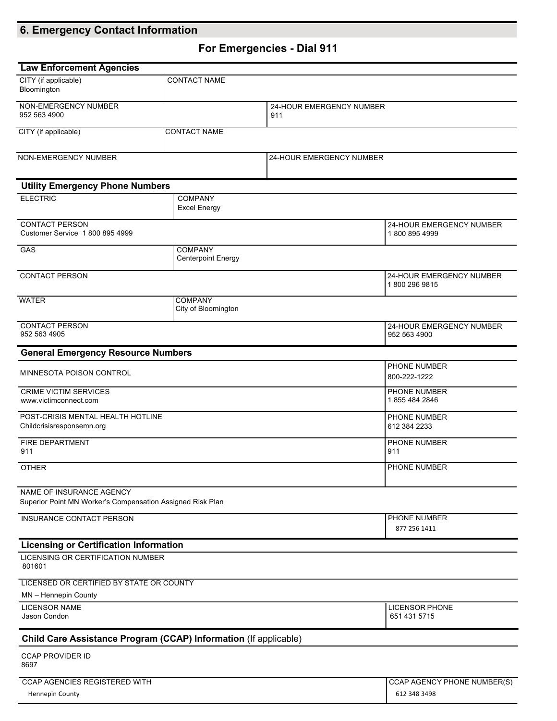# **6. Emergency Contact Information**

# **For Emergencies - Dial 911**

| <b>Law Enforcement Agencies</b>                                                        |  |                                             |                                       |                                           |
|----------------------------------------------------------------------------------------|--|---------------------------------------------|---------------------------------------|-------------------------------------------|
| CITY (if applicable)<br>Bloomington                                                    |  | <b>CONTACT NAME</b>                         |                                       |                                           |
| NON-EMERGENCY NUMBER<br>952 563 4900<br>911                                            |  | 24-HOUR EMERGENCY NUMBER                    |                                       |                                           |
| CITY (if applicable)                                                                   |  | <b>CONTACT NAME</b>                         |                                       |                                           |
| NON-EMERGENCY NUMBER                                                                   |  |                                             | 24-HOUR EMERGENCY NUMBER              |                                           |
| <b>Utility Emergency Phone Numbers</b>                                                 |  |                                             |                                       |                                           |
| <b>ELECTRIC</b>                                                                        |  | <b>COMPANY</b><br><b>Excel Energy</b>       |                                       |                                           |
| <b>CONTACT PERSON</b><br>Customer Service 1 800 895 4999                               |  |                                             |                                       | 24-HOUR EMERGENCY NUMBER<br>18008954999   |
| GAS                                                                                    |  | <b>COMPANY</b><br><b>Centerpoint Energy</b> |                                       |                                           |
| <b>CONTACT PERSON</b>                                                                  |  |                                             |                                       | 24-HOUR EMERGENCY NUMBER<br>1800 296 9815 |
| <b>WATER</b>                                                                           |  | <b>COMPANY</b><br>City of Bloomington       |                                       |                                           |
| <b>CONTACT PERSON</b><br>952 563 4905                                                  |  |                                             |                                       | 24-HOUR EMERGENCY NUMBER<br>952 563 4900  |
| <b>General Emergency Resource Numbers</b>                                              |  |                                             |                                       |                                           |
| MINNESOTA POISON CONTROL                                                               |  |                                             |                                       | PHONE NUMBER<br>800-222-1222              |
| <b>CRIME VICTIM SERVICES</b><br>www.victimconnect.com                                  |  |                                             |                                       | PHONE NUMBER<br>1855 484 2846             |
| POST-CRISIS MENTAL HEALTH HOTLINE<br>Childcrisisresponsemn.org                         |  |                                             |                                       | PHONE NUMBER<br>612 384 2233              |
| FIRE DEPARTMENT<br>911                                                                 |  |                                             |                                       | PHONE NUMBER<br>911                       |
| <b>OTHER</b>                                                                           |  |                                             |                                       | PHONE NUMBER                              |
| NAME OF INSURANCE AGENCY<br>Superior Point MN Worker's Compensation Assigned Risk Plan |  |                                             |                                       |                                           |
| <b>INSURANCE CONTACT PERSON</b>                                                        |  |                                             | PHONE NUMBER<br>877 256 1411          |                                           |
| <b>Licensing or Certification Information</b>                                          |  |                                             |                                       |                                           |
| LICENSING OR CERTIFICATION NUMBER<br>801601                                            |  |                                             |                                       |                                           |
| LICENSED OR CERTIFIED BY STATE OR COUNTY                                               |  |                                             |                                       |                                           |
| MN - Hennepin County                                                                   |  |                                             |                                       |                                           |
| <b>LICENSOR NAME</b><br>Jason Condon                                                   |  |                                             | <b>LICENSOR PHONE</b><br>651 431 5715 |                                           |
| Child Care Assistance Program (CCAP) Information (If applicable)                       |  |                                             |                                       |                                           |
| <b>CCAP PROVIDER ID</b><br>8697                                                        |  |                                             |                                       |                                           |
| CCAP AGENCIES REGISTERED WITH                                                          |  |                                             |                                       | CCAP AGENCY PHONE NUMBER(S)               |
| <b>Hennepin County</b>                                                                 |  |                                             |                                       | 612 348 3498                              |

**Summary of Personnel Information – Initial** 

**Summary of**